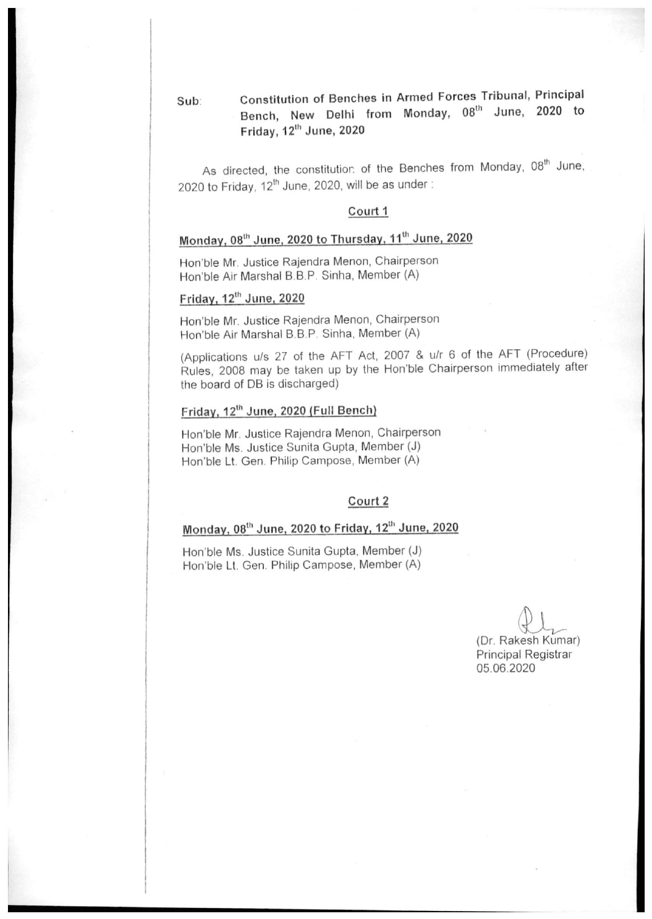Constitution of Benches in Armed Forces Tribunal, Principal Sub: Bench, New Delhi from Monday, 08th June, 2020 to Friday, 12th June, 2020

As directed, the constitution of the Benches from Monday, 08<sup>th</sup> June, 2020 to Friday, 12<sup>th</sup> June, 2020, will be as under:

#### Court 1

## Monday, 08th June, 2020 to Thursday, 11<sup>th</sup> June, 2020

Hon'ble Mr. Justice Rajendra Menon, Chairperson Hon'ble Air Marshal B.B.P. Sinha, Member (A)

#### Friday, 12<sup>th</sup> June, 2020

Hon'ble Mr. Justice Rajendra Menon, Chairperson Hon'ble Air Marshal B.B.P. Sinha, Member (A)

(Applications u/s 27 of the AFT Act, 2007 & u/r 6 of the AFT (Procedure) Rules, 2008 may be taken up by the Hon'ble Chairperson immediately after the board of DB is discharged)

#### Friday, 12th June, 2020 (Full Bench)

Hon'ble Mr. Justice Rajendra Menon, Chairperson Hon'ble Ms. Justice Sunita Gupta, Member (J) Hon'ble Lt. Gen. Philip Campose, Member (A)

#### Court 2

### Monday, 08th June, 2020 to Friday, 12th June, 2020

Hon'ble Ms. Justice Sunita Gupta, Member (J) Hon'ble Lt. Gen. Philip Campose, Member (A)

> (Dr. Rakesh Kumar) Principal Registrar 05.06.2020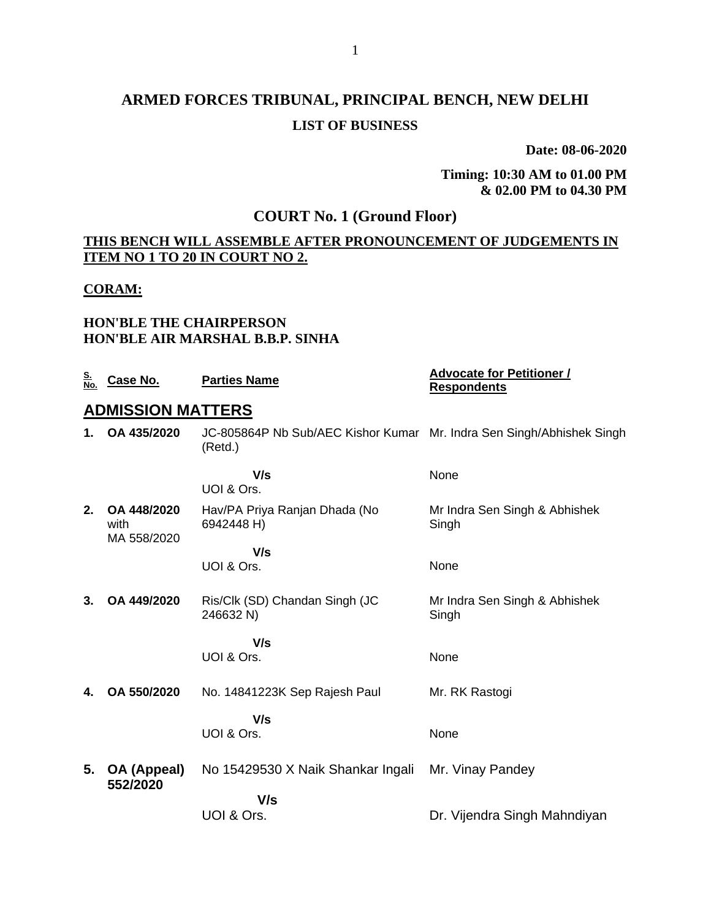# **ARMED FORCES TRIBUNAL, PRINCIPAL BENCH, NEW DELHI LIST OF BUSINESS**

**Date: 08-06-2020**

**Timing: 10:30 AM to 01.00 PM & 02.00 PM to 04.30 PM**

### **COURT No. 1 (Ground Floor)**

### **THIS BENCH WILL ASSEMBLE AFTER PRONOUNCEMENT OF JUDGEMENTS IN ITEM NO 1 TO 20 IN COURT NO 2.**

#### **CORAM:**

#### **HON'BLE THE CHAIRPERSON HON'BLE AIR MARSHAL B.B.P. SINHA**

| <u>S.</u><br>No. | Case No.                           | <b>Parties Name</b>                                                              | <b>Advocate for Petitioner /</b><br><b>Respondents</b> |
|------------------|------------------------------------|----------------------------------------------------------------------------------|--------------------------------------------------------|
|                  | <b>ADMISSION MATTERS</b>           |                                                                                  |                                                        |
| 1.               | OA 435/2020                        | JC-805864P Nb Sub/AEC Kishor Kumar Mr. Indra Sen Singh/Abhishek Singh<br>(Retd.) |                                                        |
|                  |                                    | V/s<br>UOI & Ors.                                                                | None                                                   |
| 2.               | OA 448/2020<br>with<br>MA 558/2020 | Hav/PA Priya Ranjan Dhada (No<br>6942448 H)                                      | Mr Indra Sen Singh & Abhishek<br>Singh                 |
|                  |                                    | V/s<br>UOI & Ors.                                                                | None                                                   |
| 3.               | OA 449/2020                        | Ris/Clk (SD) Chandan Singh (JC<br>246632 N)                                      | Mr Indra Sen Singh & Abhishek<br>Singh                 |
|                  |                                    | V/s<br>UOI & Ors.                                                                | None                                                   |
| 4.               | OA 550/2020                        | No. 14841223K Sep Rajesh Paul                                                    | Mr. RK Rastogi                                         |
|                  |                                    | V/s<br>UOI & Ors.                                                                | None                                                   |
| 5.               | OA (Appeal)<br>552/2020            | No 15429530 X Naik Shankar Ingali                                                | Mr. Vinay Pandey                                       |
|                  |                                    | V/s<br>UOI & Ors.                                                                | Dr. Vijendra Singh Mahndiyan                           |
|                  |                                    |                                                                                  |                                                        |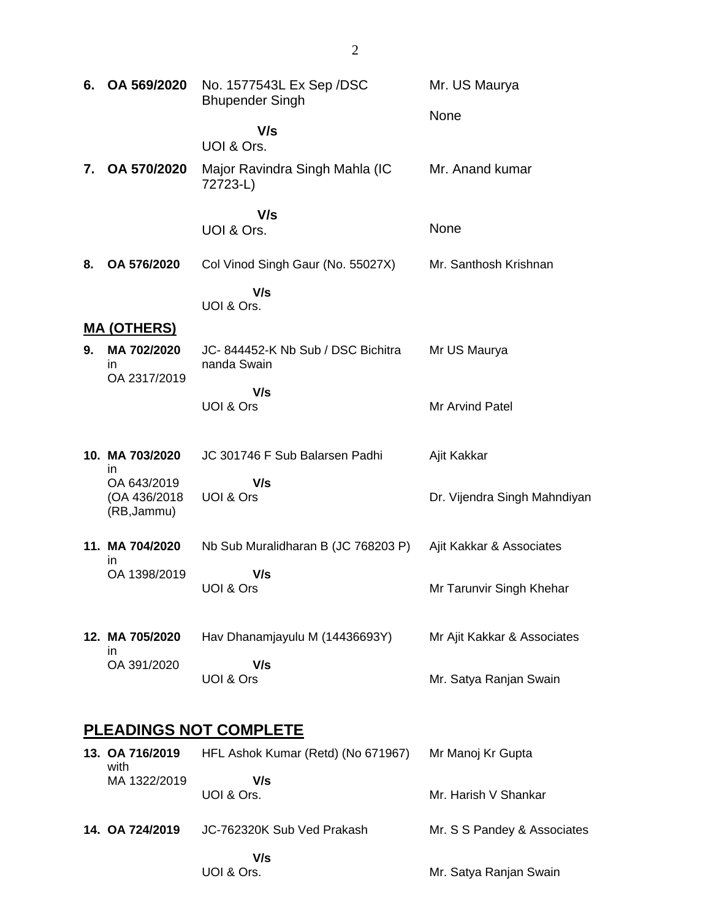| 6. | OA 569/2020                                 | No. 1577543L Ex Sep / DSC<br><b>Bhupender Singh</b> | Mr. US Maurya                |  |  |
|----|---------------------------------------------|-----------------------------------------------------|------------------------------|--|--|
|    |                                             | V/s<br>UOI & Ors.                                   | None                         |  |  |
| 7. | OA 570/2020                                 | Major Ravindra Singh Mahla (IC<br>72723-L)          | Mr. Anand kumar              |  |  |
|    |                                             | V/s<br>UOI & Ors.                                   | None                         |  |  |
| 8. | OA 576/2020                                 | Col Vinod Singh Gaur (No. 55027X)                   | Mr. Santhosh Krishnan        |  |  |
|    |                                             | V/s<br>UOI & Ors.                                   |                              |  |  |
|    | <u>MA (OTHERS)</u>                          |                                                     |                              |  |  |
| 9. | MA 702/2020<br>in                           | JC-844452-K Nb Sub / DSC Bichitra<br>nanda Swain    | Mr US Maurya                 |  |  |
|    | OA 2317/2019                                | V/s                                                 |                              |  |  |
|    |                                             | UOI & Ors                                           | Mr Arvind Patel              |  |  |
|    | 10. MA 703/2020<br>ın                       | JC 301746 F Sub Balarsen Padhi                      | Ajit Kakkar                  |  |  |
|    | OA 643/2019<br>(OA 436/2018)<br>(RB, Jammu) | V/s<br>UOI & Ors                                    | Dr. Vijendra Singh Mahndiyan |  |  |
|    | 11. MA 704/2020<br>ın                       | Nb Sub Muralidharan B (JC 768203 P)                 | Ajit Kakkar & Associates     |  |  |
|    | OA 1398/2019                                | V/s<br>UOI & Ors                                    | Mr Tarunvir Singh Khehar     |  |  |
|    | 12. MA 705/2020                             | Hav Dhanamjayulu M (14436693Y)                      | Mr Ajit Kakkar & Associates  |  |  |
|    | in<br>OA 391/2020                           | V/s<br>UOI & Ors                                    | Mr. Satya Ranjan Swain       |  |  |
|    | <b>PLEADINGS NOT COMPLETE</b>               |                                                     |                              |  |  |
|    | 13. OA 716/2019                             | HFL Ashok Kumar (Retd) (No 671967)                  | Mr Manoj Kr Gupta            |  |  |
|    | with<br>MA 1322/2019                        | V/s<br>UOI & Ors.                                   | Mr. Harish V Shankar         |  |  |
|    | 14. OA 724/2019                             | JC-762320K Sub Ved Prakash                          | Mr. S S Pandey & Associates  |  |  |

Mr. Satya Ranjan Swain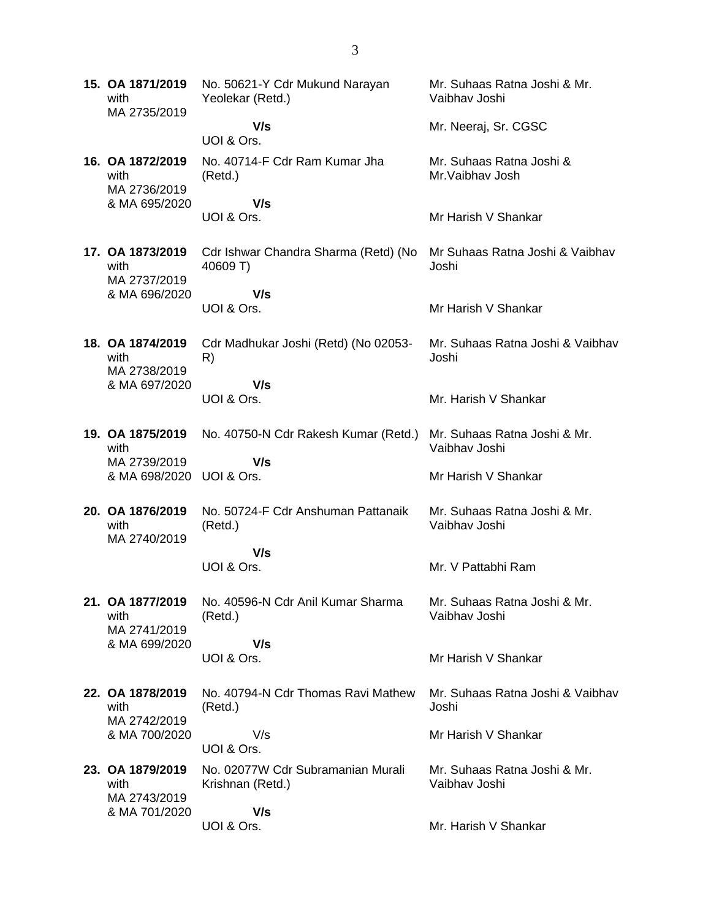**15. OA 1871/2019** with MA 2735/2019 No. 50621-Y Cdr Mukund Narayan Yeolekar (Retd.)  **V/s** UOI & Ors. Mr. Suhaas Ratna Joshi & Mr. Vaibhav Joshi Mr. Neeraj, Sr. CGSC **16. OA 1872/2019** with MA 2736/2019 & MA 695/2020 No. 40714-F Cdr Ram Kumar Jha (Retd.)  **V/s** UOI & Ors. Mr. Suhaas Ratna Joshi & Mr.Vaibhav Josh Mr Harish V Shankar **17. OA 1873/2019** with MA 2737/2019 & MA 696/2020 Cdr Ishwar Chandra Sharma (Retd) (No 40609 T)  **V/s** UOI & Ors. Mr Suhaas Ratna Joshi & Vaibhav Joshi Mr Harish V Shankar **18. OA 1874/2019** with MA 2738/2019 & MA 697/2020 Cdr Madhukar Joshi (Retd) (No 02053- R)  **V/s** UOI & Ors. Mr. Suhaas Ratna Joshi & Vaibhav Joshi Mr. Harish V Shankar **19. OA 1875/2019** with MA 2739/2019 & MA 698/2020 UOI & Ors. No. 40750-N Cdr Rakesh Kumar (Retd.)  **V/s** Mr. Suhaas Ratna Joshi & Mr. Vaibhav Joshi Mr Harish V Shankar **20. OA 1876/2019** with MA 2740/2019 No. 50724-F Cdr Anshuman Pattanaik (Retd.)  **V/s** UOI & Ors. Mr. Suhaas Ratna Joshi & Mr. Vaibhav Joshi Mr. V Pattabhi Ram **21. OA 1877/2019** with MA 2741/2019 & MA 699/2020 No. 40596-N Cdr Anil Kumar Sharma (Retd.)  **V/s** UOI & Ors. Mr. Suhaas Ratna Joshi & Mr. Vaibhav Joshi Mr Harish V Shankar **22. OA 1878/2019** with MA 2742/2019 & MA 700/2020 No. 40794-N Cdr Thomas Ravi Mathew (Retd.) V/s UOI & Ors. Mr. Suhaas Ratna Joshi & Vaibhav Joshi Mr Harish V Shankar **23. OA 1879/2019** with MA 2743/2019 & MA 701/2020 No. 02077W Cdr Subramanian Murali Krishnan (Retd.)  **V/s** UOI & Ors. Mr. Suhaas Ratna Joshi & Mr. Vaibhav Joshi Mr. Harish V Shankar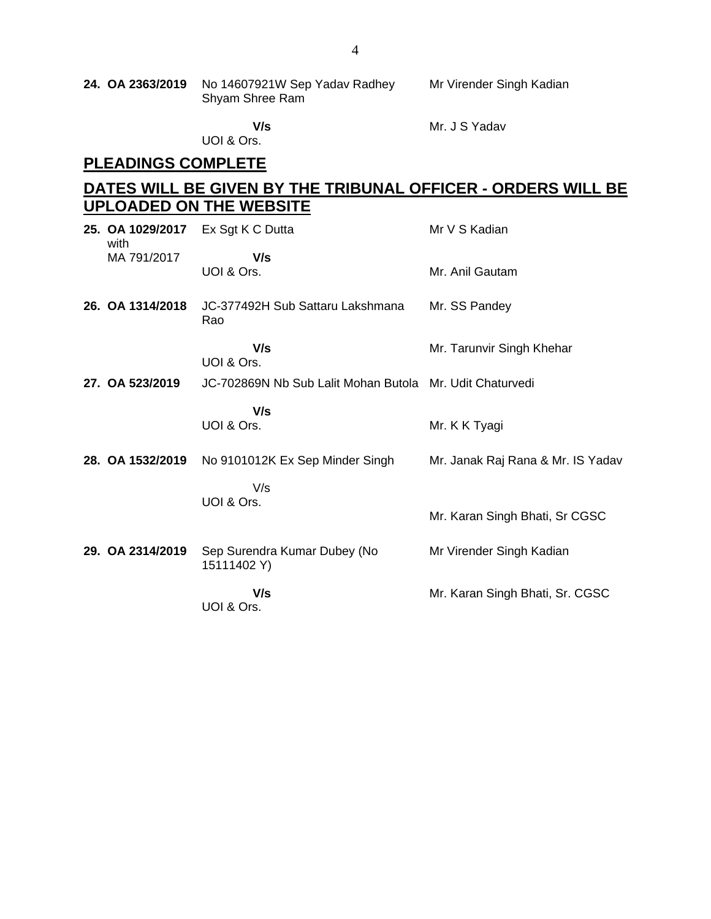**24. OA 2363/2019** No 14607921W Sep Yadav Radhey Shyam Shree Ram Mr Virender Singh Kadian

 **V/s**

Mr. J S Yadav

UOI & Ors.

## **PLEADINGS COMPLETE**

### **DATES WILL BE GIVEN BY THE TRIBUNAL OFFICER - ORDERS WILL BE UPLOADED ON THE WEBSITE**

| 25. OA 1029/2017<br>with | Ex Sgt K C Dutta                                         | Mr V S Kadian                     |
|--------------------------|----------------------------------------------------------|-----------------------------------|
| MA 791/2017              | V/s<br>UOI & Ors.                                        | Mr. Anil Gautam                   |
| 26. OA 1314/2018         | JC-377492H Sub Sattaru Lakshmana<br>Rao                  | Mr. SS Pandey                     |
|                          | V/s<br>UOI & Ors.                                        | Mr. Tarunvir Singh Khehar         |
| 27. OA 523/2019          | JC-702869N Nb Sub Lalit Mohan Butola Mr. Udit Chaturvedi |                                   |
|                          | V/s<br>UOI & Ors.                                        | Mr. K K Tyagi                     |
| 28. OA 1532/2019         | No 9101012K Ex Sep Minder Singh                          | Mr. Janak Raj Rana & Mr. IS Yadav |
|                          | V/s                                                      |                                   |
|                          | UOI & Ors.                                               | Mr. Karan Singh Bhati, Sr CGSC    |
| 29. OA 2314/2019         | Sep Surendra Kumar Dubey (No<br>15111402 Y)              | Mr Virender Singh Kadian          |
|                          | V/s<br>UOI & Ors.                                        | Mr. Karan Singh Bhati, Sr. CGSC   |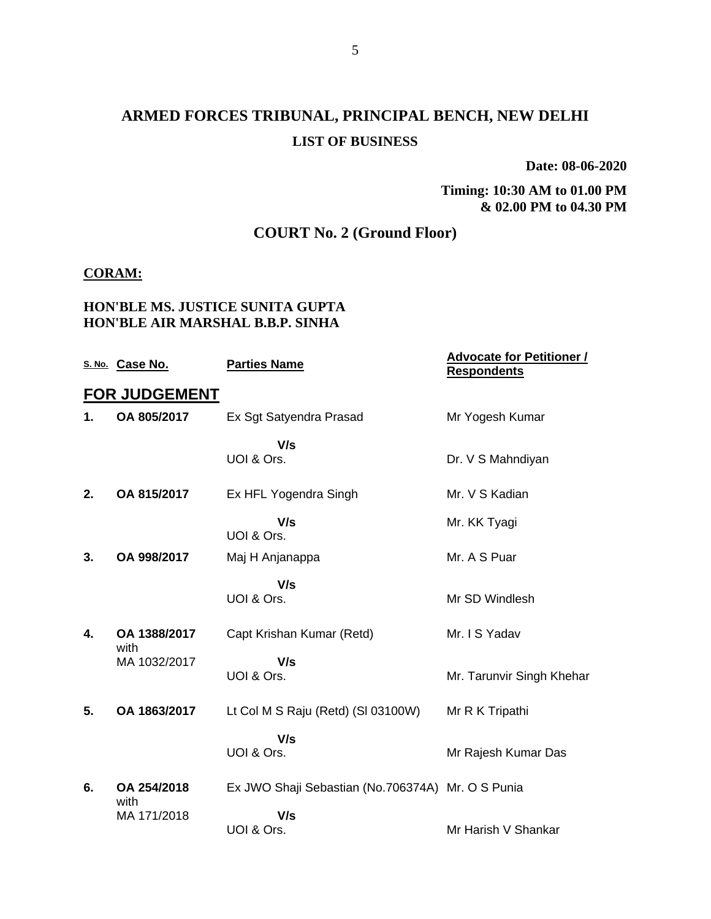## **ARMED FORCES TRIBUNAL, PRINCIPAL BENCH, NEW DELHI LIST OF BUSINESS**

**Date: 08-06-2020**

**Timing: 10:30 AM to 01.00 PM & 02.00 PM to 04.30 PM**

### **COURT No. 2 (Ground Floor)**

#### **CORAM:**

#### **HON'BLE MS. JUSTICE SUNITA GUPTA HON'BLE AIR MARSHAL B.B.P. SINHA**

|    | S. No. Case No.      | <b>Parties Name</b>                               | <b>Advocate for Petitioner /</b><br><b>Respondents</b> |
|----|----------------------|---------------------------------------------------|--------------------------------------------------------|
|    | <b>FOR JUDGEMENT</b> |                                                   |                                                        |
| 1. | OA 805/2017          | Ex Sgt Satyendra Prasad                           | Mr Yogesh Kumar                                        |
|    |                      | V/s<br>UOI & Ors.                                 | Dr. V S Mahndiyan                                      |
| 2. | OA 815/2017          | Ex HFL Yogendra Singh                             | Mr. V S Kadian                                         |
|    |                      | V/s<br>UOI & Ors.                                 | Mr. KK Tyagi                                           |
| 3. | OA 998/2017          | Maj H Anjanappa                                   | Mr. A S Puar                                           |
|    |                      | V/s<br>UOI & Ors.                                 | Mr SD Windlesh                                         |
| 4. | OA 1388/2017<br>with | Capt Krishan Kumar (Retd)                         | Mr. I S Yadav                                          |
|    | MA 1032/2017         | V/s<br>UOI & Ors.                                 | Mr. Tarunvir Singh Khehar                              |
| 5. | OA 1863/2017         | Lt Col M S Raju (Retd) (SI 03100W)                | Mr R K Tripathi                                        |
|    |                      | V/s<br>UOI & Ors.                                 | Mr Rajesh Kumar Das                                    |
| 6. | OA 254/2018<br>with  | Ex JWO Shaji Sebastian (No.706374A) Mr. O S Punia |                                                        |
|    | MA 171/2018          | V/s<br>UOI & Ors.                                 | Mr Harish V Shankar                                    |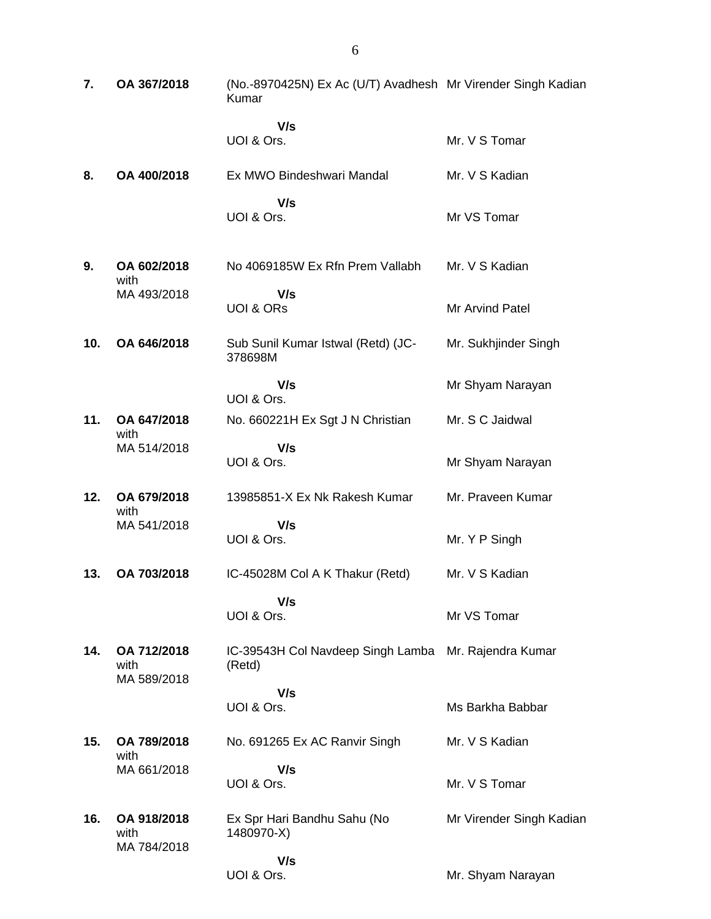| 7.  | OA 367/2018                        | (No.-8970425N) Ex Ac (U/T) Avadhesh Mr Virender Singh Kadian<br>Kumar |                          |
|-----|------------------------------------|-----------------------------------------------------------------------|--------------------------|
|     |                                    | V/s<br>UOI & Ors.                                                     | Mr. V S Tomar            |
| 8.  | OA 400/2018                        | Ex MWO Bindeshwari Mandal                                             | Mr. V S Kadian           |
|     |                                    | V/s<br>UOI & Ors.                                                     | Mr VS Tomar              |
| 9.  | OA 602/2018<br>with                | No 4069185W Ex Rfn Prem Vallabh                                       | Mr. V S Kadian           |
|     | MA 493/2018                        | V/s<br><b>UOI &amp; ORS</b>                                           | Mr Arvind Patel          |
| 10. | OA 646/2018                        | Sub Sunil Kumar Istwal (Retd) (JC-<br>378698M                         | Mr. Sukhjinder Singh     |
|     |                                    | V/s<br>UOI & Ors.                                                     | Mr Shyam Narayan         |
| 11. | OA 647/2018<br>with                | No. 660221H Ex Sgt J N Christian                                      | Mr. S C Jaidwal          |
|     | MA 514/2018                        | V/s<br>UOI & Ors.                                                     | Mr Shyam Narayan         |
| 12. | OA 679/2018                        | 13985851-X Ex Nk Rakesh Kumar                                         | Mr. Praveen Kumar        |
|     | with<br>MA 541/2018                | V/s<br>UOI & Ors.                                                     | Mr. Y P Singh            |
| 13. | OA 703/2018                        | IC-45028M Col A K Thakur (Retd)                                       | Mr. V S Kadian           |
|     |                                    | V/s<br>UOI & Ors.                                                     | Mr VS Tomar              |
| 14. | OA 712/2018<br>with<br>MA 589/2018 | IC-39543H Col Navdeep Singh Lamba<br>(Retd)                           | Mr. Rajendra Kumar       |
|     |                                    | V/s<br>UOI & Ors.                                                     | Ms Barkha Babbar         |
| 15. | OA 789/2018                        | No. 691265 Ex AC Ranvir Singh                                         | Mr. V S Kadian           |
|     | with<br>MA 661/2018                | V/s<br>UOI & Ors.                                                     | Mr. V S Tomar            |
| 16. | OA 918/2018<br>with<br>MA 784/2018 | Ex Spr Hari Bandhu Sahu (No<br>1480970-X)                             | Mr Virender Singh Kadian |
|     |                                    | V/s<br>UOI & Ors.                                                     | Mr. Shyam Narayan        |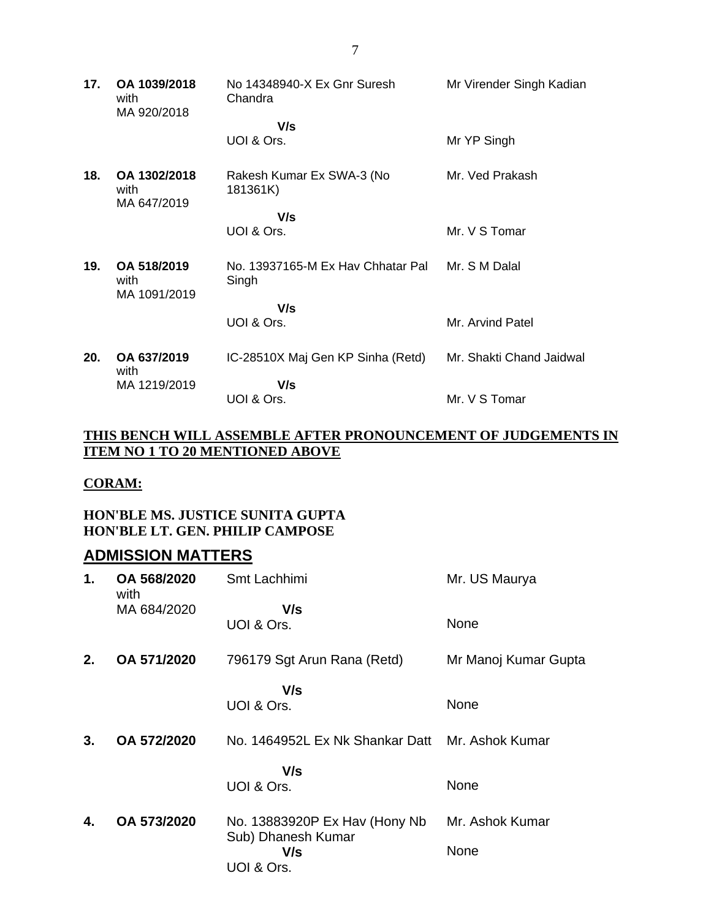| 17. | OA 1039/2018<br>with<br>MA 920/2018 | No 14348940-X Ex Gnr Suresh<br>Chandra     | Mr Virender Singh Kadian |
|-----|-------------------------------------|--------------------------------------------|--------------------------|
|     |                                     | V/s                                        |                          |
|     |                                     | UOI & Ors.                                 | Mr YP Singh              |
| 18. | OA 1302/2018<br>with<br>MA 647/2019 | Rakesh Kumar Ex SWA-3 (No<br>181361K)      | Mr. Ved Prakash          |
|     |                                     | V/s                                        |                          |
|     |                                     | UOI & Ors.                                 | Mr. V S Tomar            |
| 19. | OA 518/2019<br>with<br>MA 1091/2019 | No. 13937165-M Ex Hay Chhatar Pal<br>Singh | Mr. S M Dalal            |
|     |                                     | V/s                                        |                          |
|     |                                     | UOI & Ors.                                 | Mr. Arvind Patel         |
| 20. | OA 637/2019<br>with                 | IC-28510X Maj Gen KP Sinha (Retd)          | Mr. Shakti Chand Jaidwal |
|     | MA 1219/2019                        | V/s                                        |                          |
|     |                                     | UOI & Ors.                                 | Mr. V S Tomar            |

#### **THIS BENCH WILL ASSEMBLE AFTER PRONOUNCEMENT OF JUDGEMENTS IN ITEM NO 1 TO 20 MENTIONED ABOVE**

#### **CORAM:**

#### **HON'BLE MS. JUSTICE SUNITA GUPTA HON'BLE LT. GEN. PHILIP CAMPOSE**

### **ADMISSION MATTERS**

| 1. | OA 568/2020<br>with | Smt Lachhimi                                                              | Mr. US Maurya           |
|----|---------------------|---------------------------------------------------------------------------|-------------------------|
|    | MA 684/2020         | V/s<br>UOI & Ors.                                                         | None                    |
| 2. | OA 571/2020         | 796179 Sgt Arun Rana (Retd)                                               | Mr Manoj Kumar Gupta    |
|    |                     | V/s<br>UOI & Ors.                                                         | None                    |
| 3. | OA 572/2020         | No. 1464952L Ex Nk Shankar Datt                                           | Mr. Ashok Kumar         |
|    |                     | V/s<br>UOI & Ors.                                                         | None                    |
| 4. | OA 573/2020         | No. 13883920P Ex Hav (Hony Nb)<br>Sub) Dhanesh Kumar<br>V/s<br>UOI & Ors. | Mr. Ashok Kumar<br>None |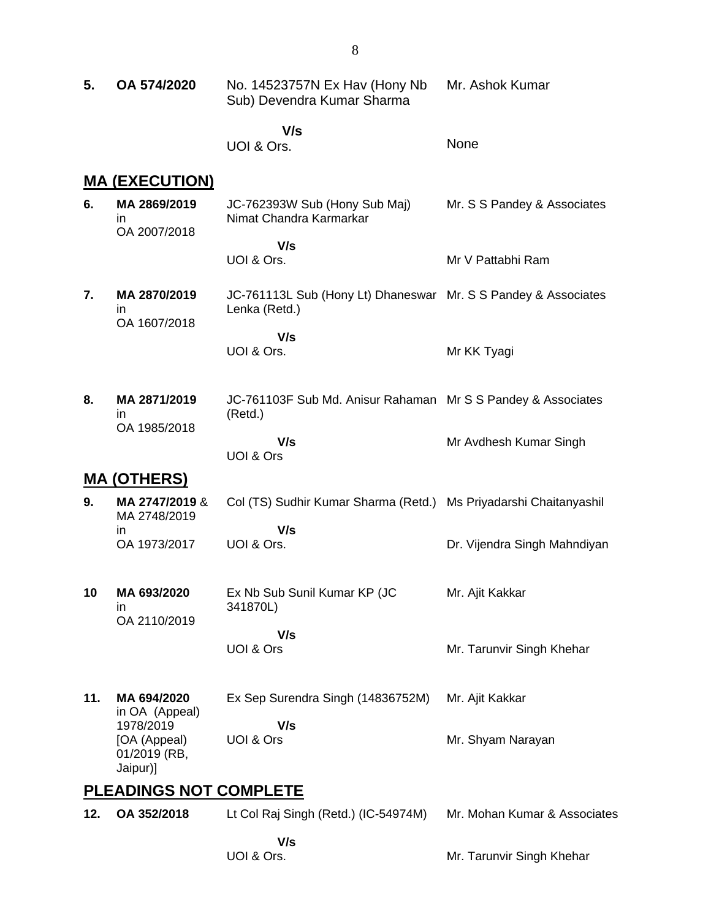| 5.  | OA 574/2020                                           | No. 14523757N Ex Hav (Hony Nb)<br>Sub) Devendra Kumar Sharma                    | Mr. Ashok Kumar              |
|-----|-------------------------------------------------------|---------------------------------------------------------------------------------|------------------------------|
|     |                                                       | V/s<br>UOI & Ors.                                                               | None                         |
|     | <u>MA (EXECUTION)</u>                                 |                                                                                 |                              |
| 6.  | MA 2869/2019<br>in<br>OA 2007/2018                    | JC-762393W Sub (Hony Sub Maj)<br>Nimat Chandra Karmarkar                        | Mr. S S Pandey & Associates  |
|     |                                                       | V/s<br>UOI & Ors.                                                               | Mr V Pattabhi Ram            |
| 7.  | MA 2870/2019<br>ın<br>OA 1607/2018                    | JC-761113L Sub (Hony Lt) Dhaneswar Mr. S S Pandey & Associates<br>Lenka (Retd.) |                              |
|     |                                                       | V/s<br>UOI & Ors.                                                               | Mr KK Tyagi                  |
| 8.  | MA 2871/2019<br>ın                                    | JC-761103F Sub Md. Anisur Rahaman Mr S S Pandey & Associates<br>(Retd.)         |                              |
|     | OA 1985/2018                                          | V/s<br>UOI & Ors                                                                | Mr Avdhesh Kumar Singh       |
|     | <u>MA (OTHERS)</u>                                    |                                                                                 |                              |
| 9.  | MA 2747/2019 &<br>MA 2748/2019                        | Col (TS) Sudhir Kumar Sharma (Retd.) Ms Priyadarshi Chaitanyashil               |                              |
|     | ın<br>OA 1973/2017                                    | V/s<br>UOI & Ors.                                                               | Dr. Vijendra Singh Mahndiyan |
| 10  | MA 693/2020<br>ın<br>OA 2110/2019                     | Ex Nb Sub Sunil Kumar KP (JC<br>341870L)                                        | Mr. Ajit Kakkar              |
|     |                                                       | V/s<br>UOI & Ors                                                                | Mr. Tarunvir Singh Khehar    |
| 11. | MA 694/2020<br>in OA (Appeal)                         | Ex Sep Surendra Singh (14836752M)                                               | Mr. Ajit Kakkar              |
|     | 1978/2019<br>[OA (Appeal)<br>01/2019 (RB,<br>Jaipur)] | V/s<br>UOI & Ors                                                                | Mr. Shyam Narayan            |
|     | <b>PLEADINGS NOT COMPLETE</b>                         |                                                                                 |                              |
| 12. | OA 352/2018                                           | Lt Col Raj Singh (Retd.) (IC-54974M)                                            | Mr. Mohan Kumar & Associates |
|     |                                                       | V/s<br>UOI & Ors.                                                               | Mr. Tarunvir Singh Khehar    |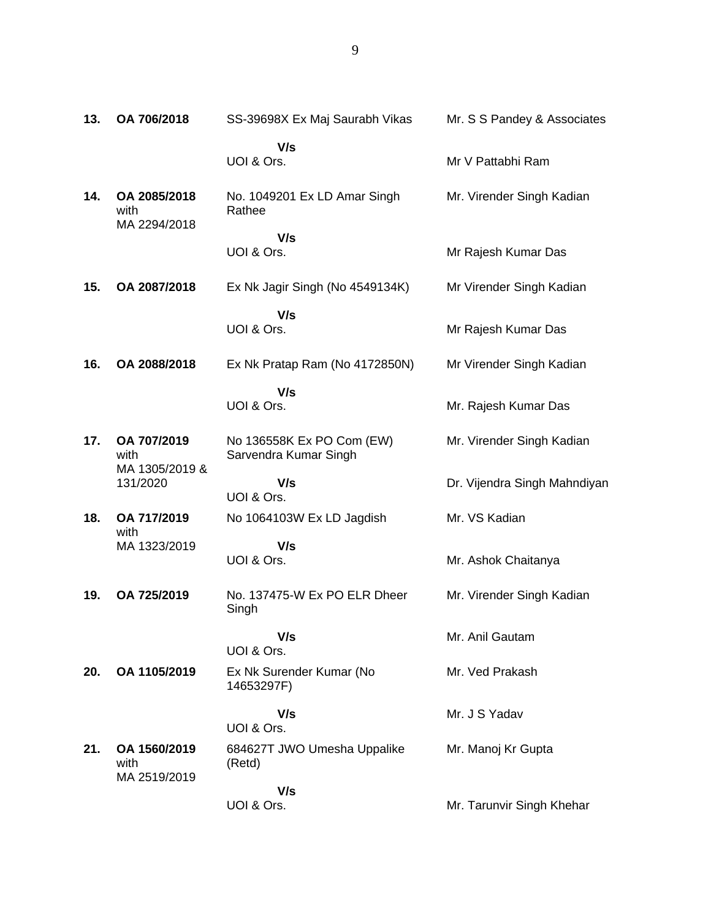| 13. | OA 706/2018                          | SS-39698X Ex Maj Saurabh Vikas                     | Mr. S S Pandey & Associates  |
|-----|--------------------------------------|----------------------------------------------------|------------------------------|
|     |                                      | V/s<br>UOI & Ors.                                  | Mr V Pattabhi Ram            |
| 14. | OA 2085/2018<br>with<br>MA 2294/2018 | No. 1049201 Ex LD Amar Singh<br>Rathee             | Mr. Virender Singh Kadian    |
|     |                                      | V/s<br>UOI & Ors.                                  | Mr Rajesh Kumar Das          |
| 15. | OA 2087/2018                         | Ex Nk Jagir Singh (No 4549134K)                    | Mr Virender Singh Kadian     |
|     |                                      | V/s<br>UOI & Ors.                                  | Mr Rajesh Kumar Das          |
| 16. | OA 2088/2018                         | Ex Nk Pratap Ram (No 4172850N)                     | Mr Virender Singh Kadian     |
|     |                                      | V/s<br>UOI & Ors.                                  | Mr. Rajesh Kumar Das         |
| 17. | OA 707/2019<br>with                  | No 136558K Ex PO Com (EW)<br>Sarvendra Kumar Singh | Mr. Virender Singh Kadian    |
|     | MA 1305/2019 &<br>131/2020           | V/s<br>UOI & Ors.                                  | Dr. Vijendra Singh Mahndiyan |
| 18. | OA 717/2019<br>with                  | No 1064103W Ex LD Jagdish                          | Mr. VS Kadian                |
|     | MA 1323/2019                         | V/s<br>UOI & Ors.                                  | Mr. Ashok Chaitanya          |
| 19. | OA 725/2019                          | No. 137475-W Ex PO ELR Dheer<br>Singh              | Mr. Virender Singh Kadian    |
|     |                                      | V/s<br>UOI & Ors.                                  | Mr. Anil Gautam              |
| 20. | OA 1105/2019                         | Ex Nk Surender Kumar (No<br>14653297F)             | Mr. Ved Prakash              |
|     |                                      | V/s<br>UOI & Ors.                                  | Mr. J S Yadav                |
| 21. | OA 1560/2019<br>with<br>MA 2519/2019 | 684627T JWO Umesha Uppalike<br>(Retd)              | Mr. Manoj Kr Gupta           |
|     |                                      | V/s<br>UOI & Ors.                                  | Mr. Tarunvir Singh Khehar    |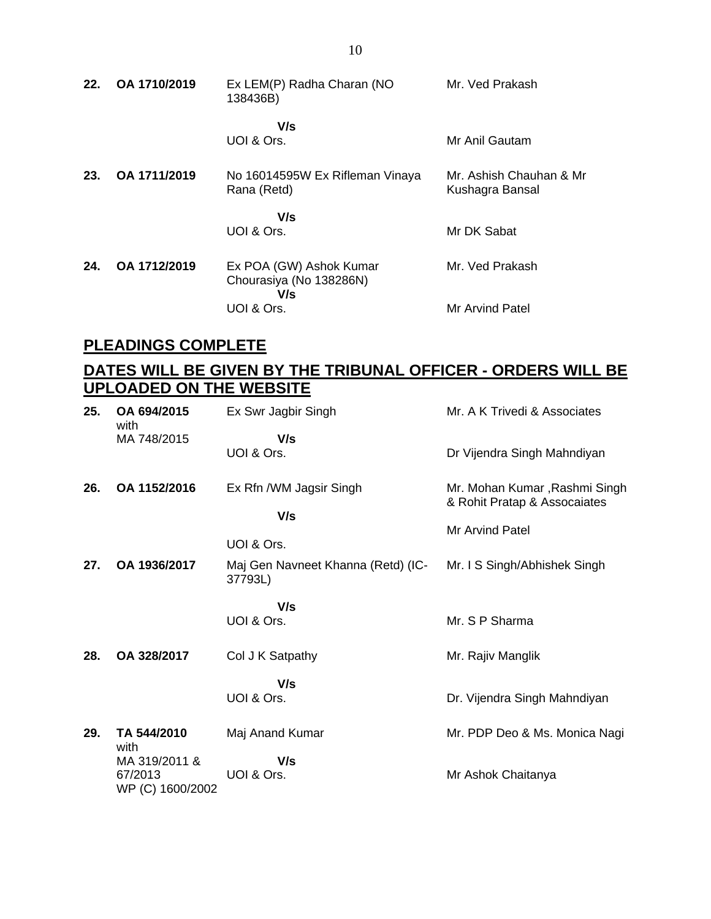| 22. | OA 1710/2019 | Ex LEM(P) Radha Charan (NO<br>138436B)                    | Mr. Ved Prakash                            |
|-----|--------------|-----------------------------------------------------------|--------------------------------------------|
|     |              | V/s<br>UOI & Ors.                                         | Mr Anil Gautam                             |
| 23. | OA 1711/2019 | No 16014595W Ex Rifleman Vinaya<br>Rana (Retd)            | Mr. Ashish Chauhan & Mr<br>Kushagra Bansal |
|     |              | V/s<br>UOI & Ors.                                         | Mr DK Sabat                                |
| 24. | OA 1712/2019 | Ex POA (GW) Ashok Kumar<br>Chourasiya (No 138286N)<br>V/s | Mr. Ved Prakash                            |
|     |              | UOI & Ors.                                                | Mr Arvind Patel                            |

## **PLEADINGS COMPLETE**

### **DATES WILL BE GIVEN BY THE TRIBUNAL OFFICER - ORDERS WILL BE UPLOADED ON THE WEBSITE**

| 25. | OA 694/2015<br>with         | Ex Swr Jagbir Singh                           | Mr. A K Trivedi & Associates                                  |
|-----|-----------------------------|-----------------------------------------------|---------------------------------------------------------------|
|     | MA 748/2015                 | V/s                                           |                                                               |
|     |                             | UOI & Ors.                                    | Dr Vijendra Singh Mahndiyan                                   |
| 26. | OA 1152/2016                | Ex Rfn /WM Jagsir Singh                       | Mr. Mohan Kumar, Rashmi Singh<br>& Rohit Pratap & Assocaiates |
|     |                             | V/s                                           |                                                               |
|     |                             |                                               | Mr Arvind Patel                                               |
|     |                             | UOI & Ors.                                    |                                                               |
| 27. | OA 1936/2017                | Maj Gen Navneet Khanna (Retd) (IC-<br>37793L) | Mr. I S Singh/Abhishek Singh                                  |
|     |                             | V/s                                           |                                                               |
|     |                             | UOI & Ors.                                    | Mr. S P Sharma                                                |
|     |                             |                                               |                                                               |
| 28. | OA 328/2017                 | Col J K Satpathy                              | Mr. Rajiv Manglik                                             |
|     |                             | V/s                                           |                                                               |
|     |                             | UOI & Ors.                                    | Dr. Vijendra Singh Mahndiyan                                  |
|     |                             |                                               |                                                               |
| 29. | TA 544/2010<br>with         | Maj Anand Kumar                               | Mr. PDP Deo & Ms. Monica Nagi                                 |
|     | MA 319/2011 &               | V/s                                           |                                                               |
|     | 67/2013<br>WP (C) 1600/2002 | UOI & Ors.                                    | Mr Ashok Chaitanya                                            |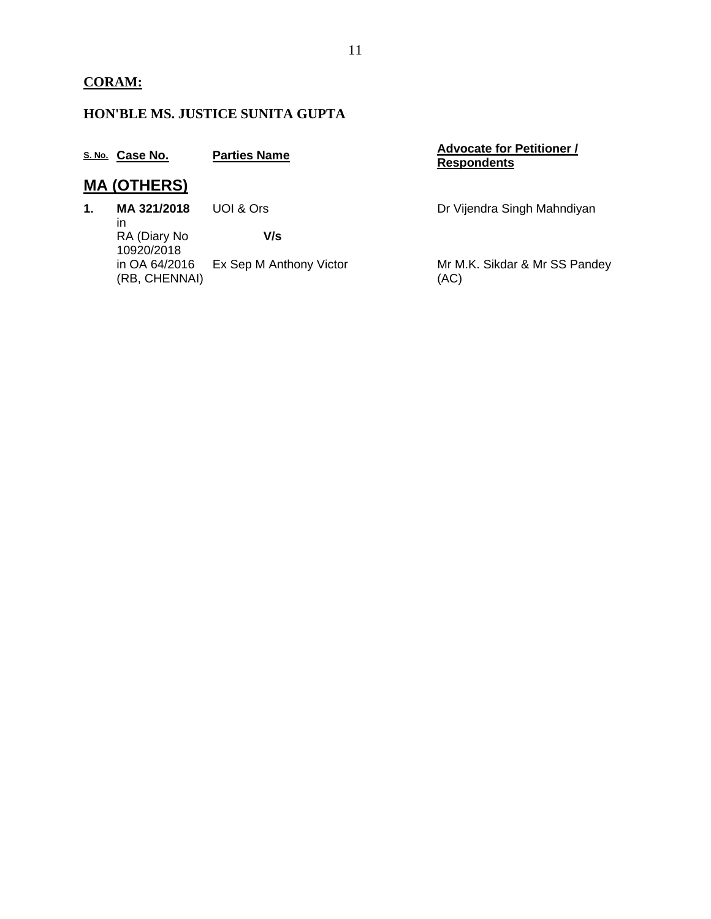## **HON'BLE MS. JUSTICE SUNITA GUPTA**

|               | S. No. Case No.                | <b>Parties Name</b>     | <b>Advocate for Petitioner /</b><br><b>Respondents</b> |
|---------------|--------------------------------|-------------------------|--------------------------------------------------------|
|               | <b>MA (OTHERS)</b>             |                         |                                                        |
| $\mathbf 1$ . | MA 321/2018<br>in              | UOI & Ors               | Dr Vijendra Singh Mahndiyan                            |
|               | RA (Diary No<br>10920/2018     | V/s                     |                                                        |
|               | in OA 64/2016<br>(RB, CHENNAI) | Ex Sep M Anthony Victor | Mr M.K. Sikdar & Mr SS Pandey<br>(AC)                  |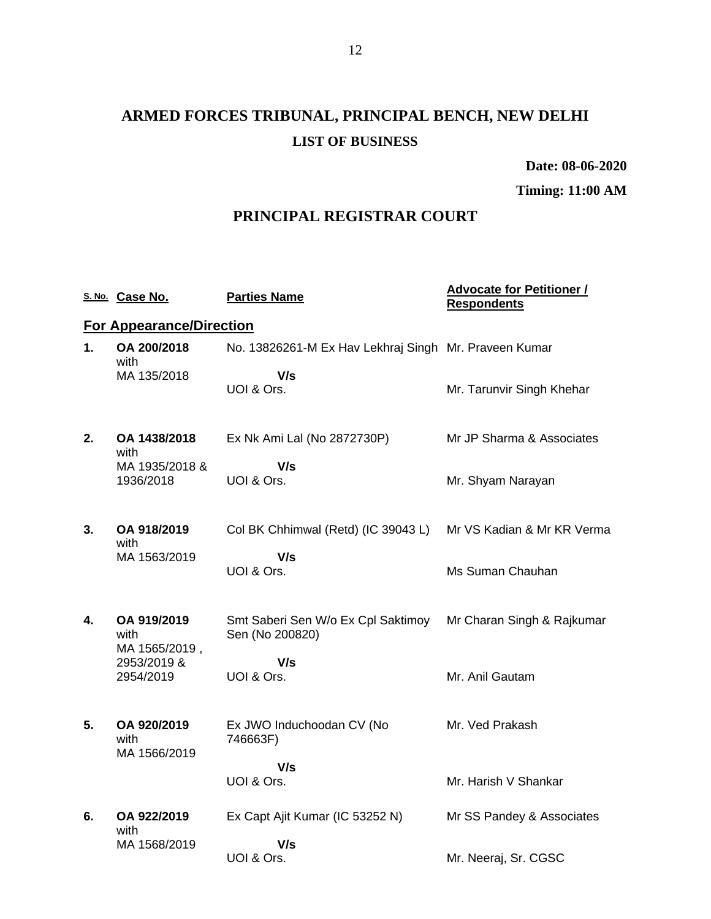# **ARMED FORCES TRIBUNAL, PRINCIPAL BENCH, NEW DELHI LIST OF BUSINESS**

**Date: 08-06-2020**

**Timing: 11:00 AM**

### **PRINCIPAL REGISTRAR COURT**

|    | S. No. Case No.                      | <b>Parties Name</b>                                   | <b>Advocate for Petitioner /</b><br><b>Respondents</b> |
|----|--------------------------------------|-------------------------------------------------------|--------------------------------------------------------|
|    | <b>For Appearance/Direction</b>      |                                                       |                                                        |
| 1. | OA 200/2018<br>with                  | No. 13826261-M Ex Hav Lekhraj Singh Mr. Praveen Kumar |                                                        |
|    | MA 135/2018                          | V/s<br>UOI & Ors.                                     | Mr. Tarunvir Singh Khehar                              |
| 2. | OA 1438/2018<br>with                 | Ex Nk Ami Lal (No 2872730P)                           | Mr JP Sharma & Associates                              |
|    | MA 1935/2018 &<br>1936/2018          | V/s<br>UOI & Ors.                                     | Mr. Shyam Narayan                                      |
| 3. | OA 918/2019<br>with                  | Col BK Chhimwal (Retd) (IC 39043 L)                   | Mr VS Kadian & Mr KR Verma                             |
|    | MA 1563/2019                         | V/s<br>UOI & Ors.                                     | Ms Suman Chauhan                                       |
| 4. | OA 919/2019<br>with<br>MA 1565/2019, | Smt Saberi Sen W/o Ex Cpl Saktimoy<br>Sen (No 200820) | Mr Charan Singh & Rajkumar                             |
|    | 2953/2019 &<br>2954/2019             | V/s<br>UOI & Ors.                                     | Mr. Anil Gautam                                        |
| 5. | OA 920/2019<br>with<br>MA 1566/2019  | Ex JWO Induchoodan CV (No<br>746663F)                 | Mr. Ved Prakash                                        |
|    |                                      | V/s<br>UOI & Ors.                                     | Mr. Harish V Shankar                                   |
| 6. | OA 922/2019<br>with                  | Ex Capt Ajit Kumar (IC 53252 N)                       | Mr SS Pandey & Associates                              |
|    | MA 1568/2019                         | V/s<br>UOI & Ors.                                     | Mr. Neeraj, Sr. CGSC                                   |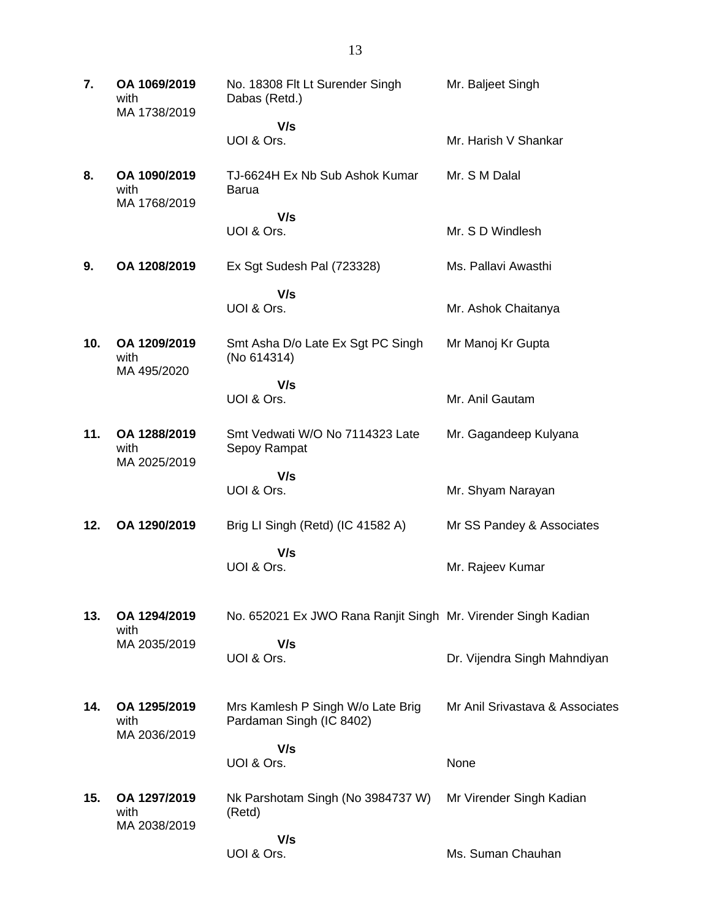| 7.  | OA 1069/2019<br>with<br>MA 1738/2019 | No. 18308 Flt Lt Surender Singh<br>Dabas (Retd.)              | Mr. Baljeet Singh               |
|-----|--------------------------------------|---------------------------------------------------------------|---------------------------------|
|     |                                      | V/s                                                           |                                 |
|     |                                      | UOI & Ors.                                                    | Mr. Harish V Shankar            |
| 8.  | OA 1090/2019<br>with<br>MA 1768/2019 | TJ-6624H Ex Nb Sub Ashok Kumar<br><b>Barua</b>                | Mr. S M Dalal                   |
|     |                                      | V/s<br>UOI & Ors.                                             | Mr. S D Windlesh                |
| 9.  | OA 1208/2019                         | Ex Sgt Sudesh Pal (723328)                                    | Ms. Pallavi Awasthi             |
|     |                                      | V/s<br>UOI & Ors.                                             | Mr. Ashok Chaitanya             |
| 10. | OA 1209/2019<br>with<br>MA 495/2020  | Smt Asha D/o Late Ex Sgt PC Singh<br>(No 614314)              | Mr Manoj Kr Gupta               |
|     |                                      | V/s<br>UOI & Ors.                                             | Mr. Anil Gautam                 |
| 11. | OA 1288/2019<br>with<br>MA 2025/2019 | Smt Vedwati W/O No 7114323 Late<br>Sepoy Rampat               | Mr. Gagandeep Kulyana           |
|     |                                      | V/s<br>UOI & Ors.                                             | Mr. Shyam Narayan               |
| 12. | OA 1290/2019                         | Brig LI Singh (Retd) (IC 41582 A)                             | Mr SS Pandey & Associates       |
|     |                                      | V/s<br>UOI & Ors.                                             | Mr. Rajeev Kumar                |
| 13. | OA 1294/2019                         | No. 652021 Ex JWO Rana Ranjit Singh Mr. Virender Singh Kadian |                                 |
|     | with<br>MA 2035/2019                 | V/s<br>UOI & Ors.                                             | Dr. Vijendra Singh Mahndiyan    |
| 14. | OA 1295/2019<br>with<br>MA 2036/2019 | Mrs Kamlesh P Singh W/o Late Brig<br>Pardaman Singh (IC 8402) | Mr Anil Srivastava & Associates |
|     |                                      | V/s<br>UOI & Ors.                                             | None                            |
| 15. | OA 1297/2019<br>with<br>MA 2038/2019 | Nk Parshotam Singh (No 3984737 W)<br>(Retd)                   | Mr Virender Singh Kadian        |
|     |                                      | V/s<br>UOI & Ors.                                             | Ms. Suman Chauhan               |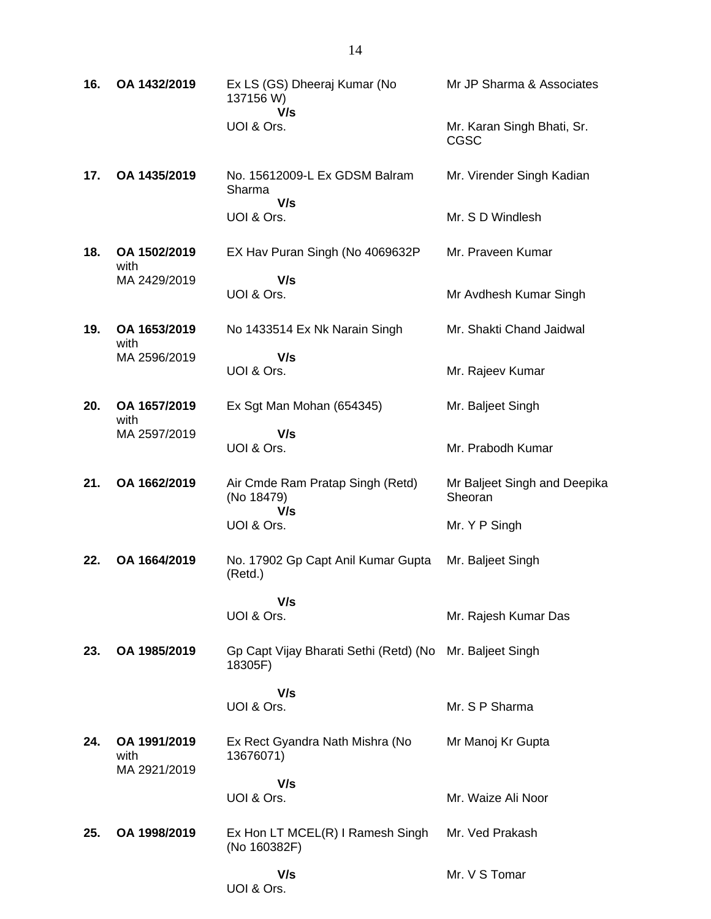| 16. | OA 1432/2019                         | Ex LS (GS) Dheeraj Kumar (No<br>137156 W)             | Mr JP Sharma & Associates               |
|-----|--------------------------------------|-------------------------------------------------------|-----------------------------------------|
|     |                                      | V/s<br>UOI & Ors.                                     | Mr. Karan Singh Bhati, Sr.<br>CGSC      |
| 17. | OA 1435/2019                         | No. 15612009-L Ex GDSM Balram<br>Sharma<br>V/s        | Mr. Virender Singh Kadian               |
|     |                                      | UOI & Ors.                                            | Mr. S D Windlesh                        |
| 18. | OA 1502/2019<br>with                 | EX Hav Puran Singh (No 4069632P)                      | Mr. Praveen Kumar                       |
|     | MA 2429/2019                         | V/s<br>UOI & Ors.                                     | Mr Avdhesh Kumar Singh                  |
| 19. | OA 1653/2019<br>with                 | No 1433514 Ex Nk Narain Singh                         | Mr. Shakti Chand Jaidwal                |
|     | MA 2596/2019                         | V/s<br>UOI & Ors.                                     | Mr. Rajeev Kumar                        |
| 20. | OA 1657/2019<br>with                 | Ex Sgt Man Mohan (654345)                             | Mr. Baljeet Singh                       |
|     | MA 2597/2019                         | V/s<br>UOI & Ors.                                     | Mr. Prabodh Kumar                       |
| 21. | OA 1662/2019                         | Air Cmde Ram Pratap Singh (Retd)<br>(No 18479)<br>V/s | Mr Baljeet Singh and Deepika<br>Sheoran |
|     |                                      | UOI & Ors.                                            | Mr. Y P Singh                           |
| 22. | OA 1664/2019                         | No. 17902 Gp Capt Anil Kumar Gupta<br>(Retd.)         | Mr. Baljeet Singh                       |
|     |                                      | V/s<br>UOI & Ors.                                     | Mr. Rajesh Kumar Das                    |
| 23. | OA 1985/2019                         | Gp Capt Vijay Bharati Sethi (Retd) (No<br>18305F)     | Mr. Baljeet Singh                       |
|     |                                      | V/s<br>UOI & Ors.                                     | Mr. S P Sharma                          |
| 24. | OA 1991/2019<br>with<br>MA 2921/2019 | Ex Rect Gyandra Nath Mishra (No<br>13676071)          | Mr Manoj Kr Gupta                       |
|     |                                      | V/s<br>UOI & Ors.                                     | Mr. Waize Ali Noor                      |
| 25. | OA 1998/2019                         | Ex Hon LT MCEL(R) I Ramesh Singh<br>(No 160382F)      | Mr. Ved Prakash                         |
|     |                                      | V/s<br>UOI & Ors.                                     | Mr. V S Tomar                           |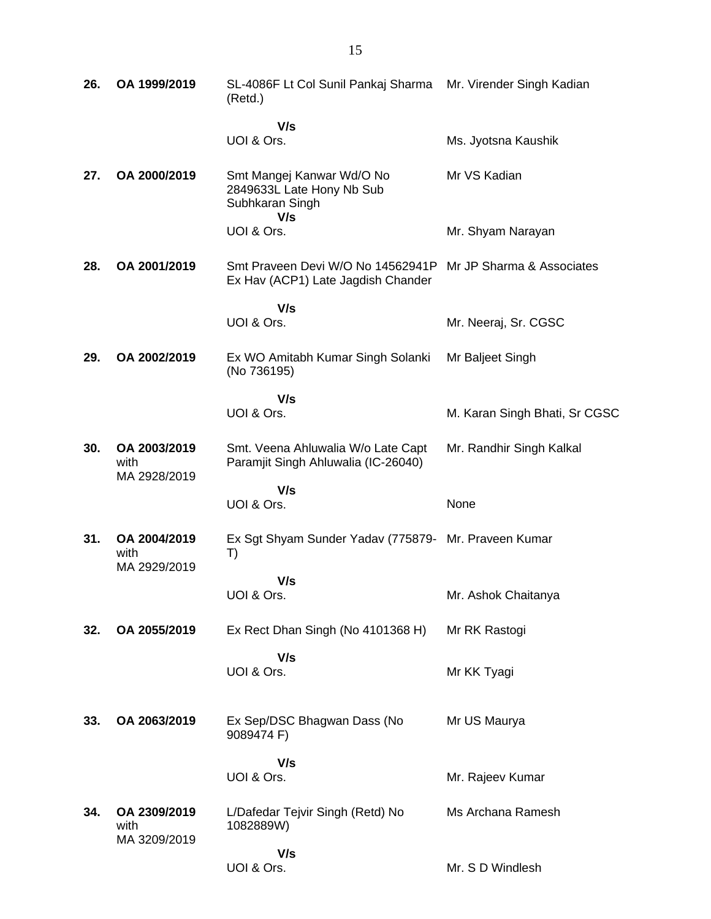| 26. | OA 1999/2019                         | SL-4086F Lt Col Sunil Pankaj Sharma<br>(Retd.)                                   | Mr. Virender Singh Kadian     |
|-----|--------------------------------------|----------------------------------------------------------------------------------|-------------------------------|
|     |                                      | V/s<br>UOI & Ors.                                                                | Ms. Jyotsna Kaushik           |
| 27. | OA 2000/2019                         | Smt Mangej Kanwar Wd/O No<br>2849633L Late Hony Nb Sub<br>Subhkaran Singh<br>V/s | Mr VS Kadian                  |
|     |                                      | UOI & Ors.                                                                       | Mr. Shyam Narayan             |
| 28. | OA 2001/2019                         | Smt Praveen Devi W/O No 14562941P<br>Ex Hav (ACP1) Late Jagdish Chander          | Mr JP Sharma & Associates     |
|     |                                      | V/s                                                                              |                               |
|     |                                      | UOI & Ors.                                                                       | Mr. Neeraj, Sr. CGSC          |
| 29. | OA 2002/2019                         | Ex WO Amitabh Kumar Singh Solanki<br>(No 736195)                                 | Mr Baljeet Singh              |
|     |                                      | V/s                                                                              |                               |
|     |                                      | UOI & Ors.                                                                       | M. Karan Singh Bhati, Sr CGSC |
| 30. | OA 2003/2019<br>with<br>MA 2928/2019 | Smt. Veena Ahluwalia W/o Late Capt<br>Paramjit Singh Ahluwalia (IC-26040)        | Mr. Randhir Singh Kalkal      |
|     |                                      | V/s                                                                              |                               |
|     |                                      |                                                                                  |                               |
|     |                                      | UOI & Ors.                                                                       | None                          |
| 31. | OA 2004/2019<br>with                 | Ex Sgt Shyam Sunder Yadav (775879- Mr. Praveen Kumar<br>T)                       |                               |
|     | MA 2929/2019                         | V/s                                                                              |                               |
|     |                                      | UOI & Ors.                                                                       | Mr. Ashok Chaitanya           |
| 32. | OA 2055/2019                         | Ex Rect Dhan Singh (No 4101368 H)                                                | Mr RK Rastogi                 |
|     |                                      | V/s                                                                              |                               |
|     |                                      | UOI & Ors.                                                                       | Mr KK Tyagi                   |
| 33. | OA 2063/2019                         | Ex Sep/DSC Bhagwan Dass (No<br>9089474 F)                                        | Mr US Maurya                  |
|     |                                      | V/s                                                                              |                               |
|     |                                      | UOI & Ors.                                                                       | Mr. Rajeev Kumar              |
| 34. | OA 2309/2019<br>with                 | L/Dafedar Tejvir Singh (Retd) No<br>1082889W)                                    | Ms Archana Ramesh             |
|     | MA 3209/2019                         | V/s<br>UOI & Ors.                                                                | Mr. S D Windlesh              |